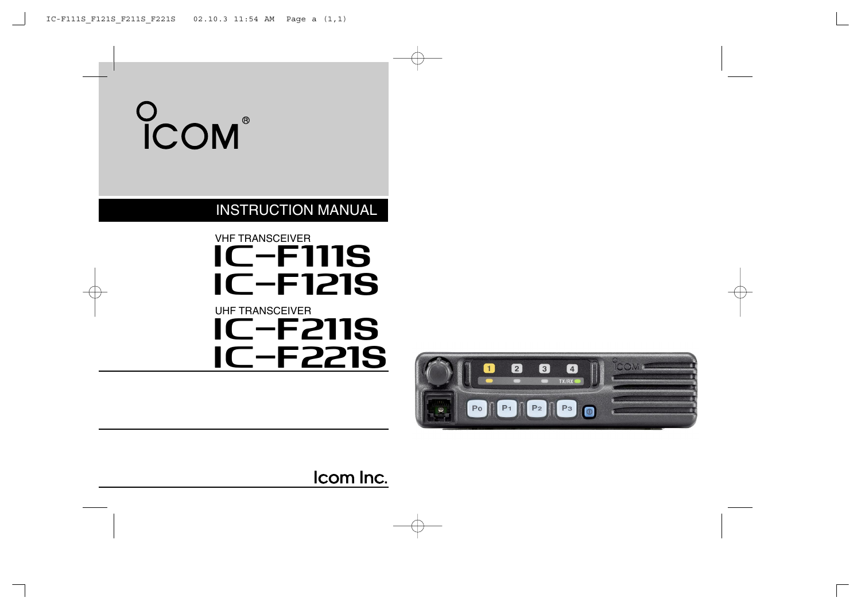# COM

### INSTRUCTION MANUAL

### **IC-F111S** VHF TRANSCEIVER UHF TRANSCEIVER  $IC-F121S$ **IC-F211S IC-F221S**



Icom Inc.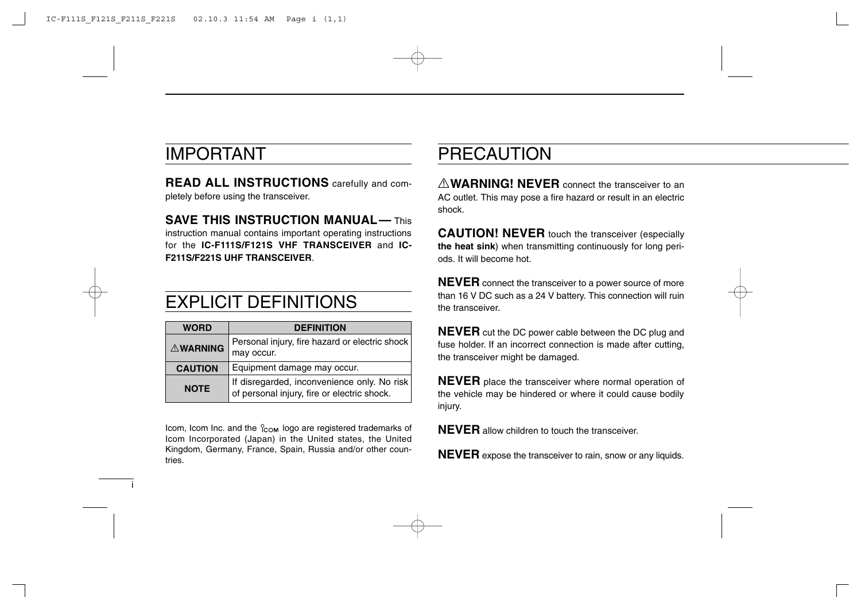### IMPORTANT

i

**READ ALL INSTRUCTIONS** carefully and completely before using the transceiver.

**SAVE THIS INSTRUCTION MANUAL— This** instruction manual contains important operating instructions for the **IC-F111S/F121S VHF TRANSCEIVER** and **IC-F211S/F221S UHF TRANSCEIVER**.

### EXPLICIT DEFINITIONS

| <b>WORD</b>     | <b>DEFINITION</b>                                                                          |
|-----------------|--------------------------------------------------------------------------------------------|
| <b>AWARNING</b> | Personal injury, fire hazard or electric shock<br>may occur.                               |
| <b>CAUTION</b>  | Equipment damage may occur.                                                                |
| <b>NOTE</b>     | If disregarded, inconvenience only. No risk<br>of personal injury, fire or electric shock. |

Icom, Icom Inc. and the  $\frac{1}{100}$  logo are registered trademarks of Icom Incorporated (Japan) in the United states, the United Kingdom, Germany, France, Spain, Russia and/or other countries.

### PRECAUTION

R**WARNING! NEVER** connect the transceiver to an AC outlet. This may pose a fire hazard or result in an electric shock.

**CAUTION! NEVER** touch the transceiver (especially **the heat sink**) when transmitting continuously for long periods. It will become hot.

**NEVER** connect the transceiver to a power source of more than 16 V DC such as a 24 V battery. This connection will ruin the transceiver.

**NEVER** cut the DC power cable between the DC plug and fuse holder. If an incorrect connection is made after cutting, the transceiver might be damaged.

**NEVER** place the transceiver where normal operation of the vehicle may be hindered or where it could cause bodily injury.

**NEVER** allow children to touch the transceiver.

**NEVER** expose the transceiver to rain, snow or any liquids.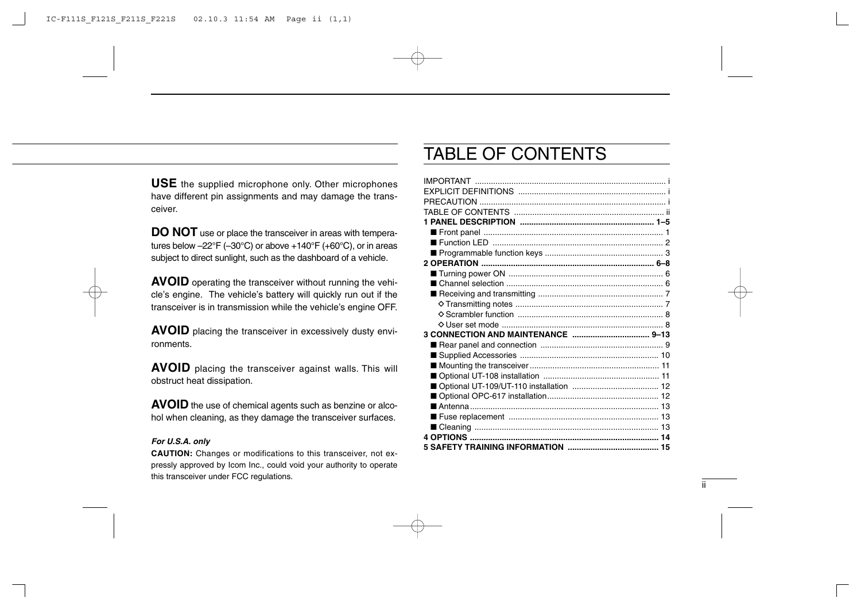**USE** the supplied microphone only. Other microphones have different pin assignments and may damage the transceiver.

**DO NOT** use or place the transceiver in areas with temperatures below  $-22^{\circ}F$  ( $-30^{\circ}C$ ) or above  $+140^{\circ}F$  ( $+60^{\circ}C$ ), or in areas subject to direct sunlight, such as the dashboard of a vehicle.

**AVOID** operating the transceiver without running the vehicle's engine. The vehicle's battery will quickly run out if the transceiver is in transmission while the vehicle's engine OFF.

**AVOID** placing the transceiver in excessively dusty environments.

**AVOID** placing the transceiver against walls. This will obstruct heat dissipation.

**AVOID** the use of chemical agents such as benzine or alcohol when cleaning, as they damage the transceiver surfaces.

#### *For U.S.A. only*

**CAUTION:** Changes or modifications to this transceiver, not expressly approved by Icom Inc., could void your authority to operate this transceiver under FCC regulations.

### TABLE OF CONTENTS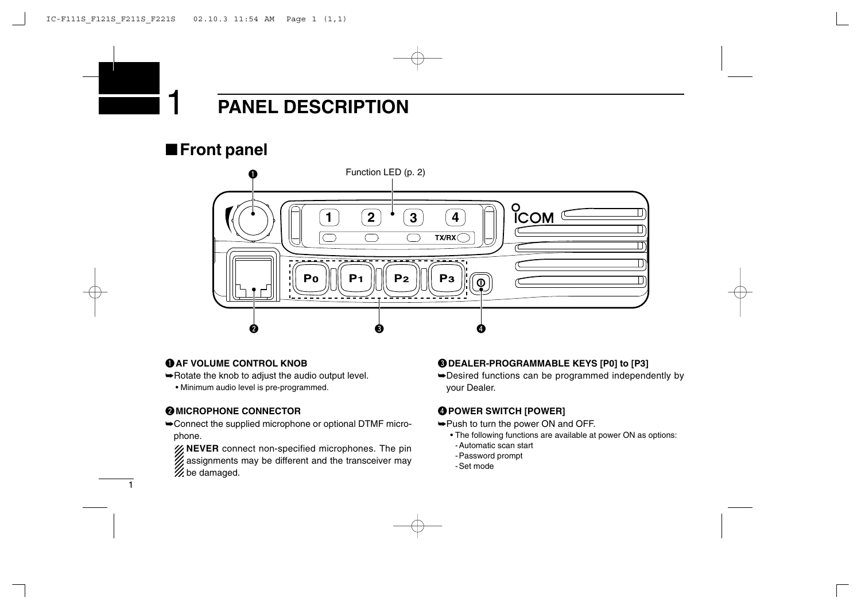■**Front panel**



### q**AF VOLUME CONTROL KNOB**

- ➥Rotate the knob to adjust the audio output level.
	- Minimum audio level is pre-programmed.

### **@MICROPHONE CONNECTOR**

1

➥Connect the supplied microphone or optional DTMF microphone.

**NEVER** connect non-specified microphones. The pin assignments may be different and the transceiver may  $\mathcal{\mathscr{U}}$  be damaged.

### e**DEALER-PROGRAMMABLE KEYS [P0] to [P3]**

➥Desired functions can be programmed independently by your Dealer.

### **@POWER SWITCH [POWER]**

- ➥Push to turn the power ON and OFF.
	- The following functions are available at power ON as options:
	- -Automatic scan start
	- -Password prompt
	- -Set mode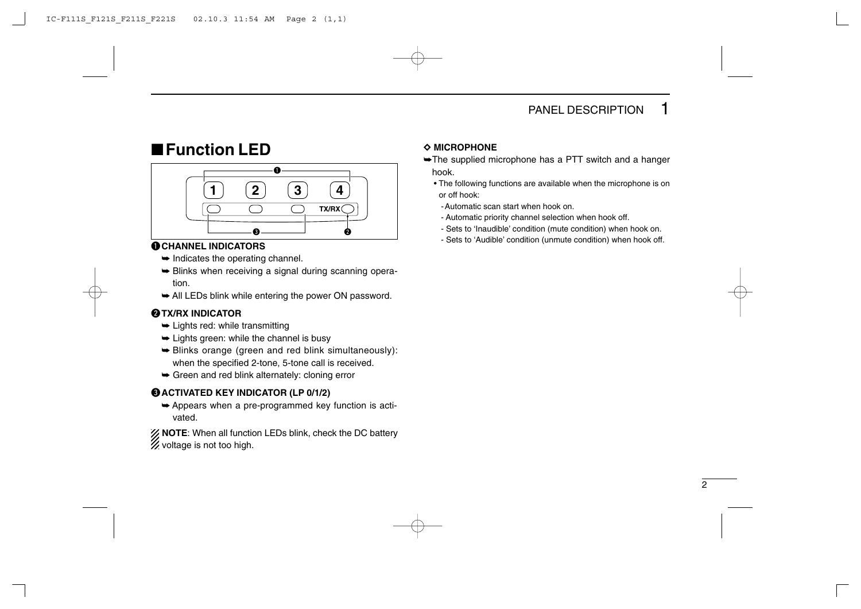### ■**Function LED**



### q**CHANNEL INDICATORS**

- $\rightarrow$  Indicates the operating channel.
- $\rightarrow$  **Blinks when receiving a signal during scanning opera**tion.
- $\rightarrow$  All LEDs blink while entering the power ON password.

### **@TX/RX INDICATOR**

- $\rightarrow$  Lights red: while transmitting
- $\rightarrow$  Lights green: while the channel is busy
- ➥ Blinks orange (green and red blink simultaneously): when the specified 2-tone, 5-tone call is received.
- $\rightarrow$  Green and red blink alternately: cloning error

### e**ACTIVATED KEY INDICATOR (LP 0/1/2)**

 $\rightarrow$  Appears when a pre-programmed key function is activated.

**NOTE**: When all function LEDs blink, check the DC battery  $\mathscr{U}$  voltage is not too high.

### $\Diamond$  MICROPHONE

- ➥The supplied microphone has a PTT switch and a hanger hook.
	- The following functions are available when the microphone is on or off hook:
		- -Automatic scan start when hook on.
		- Automatic priority channel selection when hook off.
		- Sets to 'Inaudible' condition (mute condition) when hook on.
		- Sets to 'Audible' condition (unmute condition) when hook off.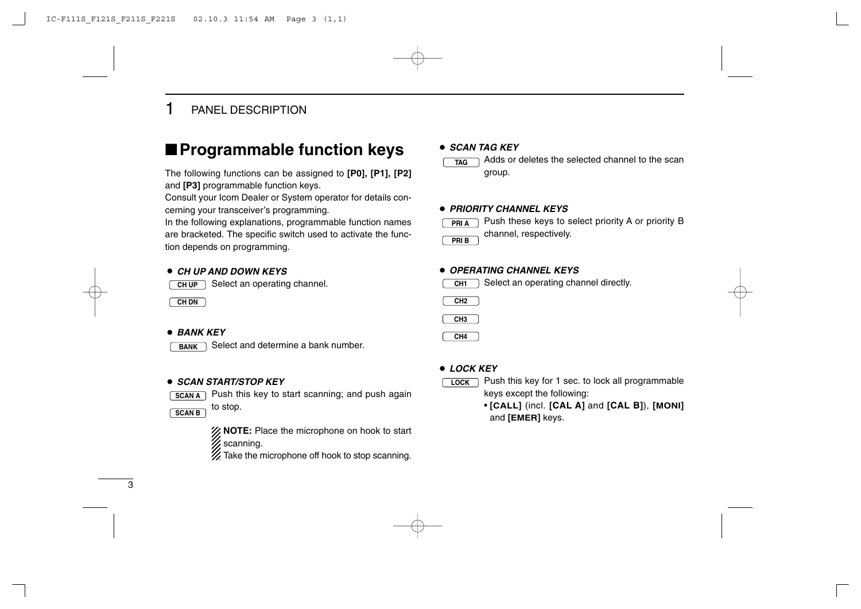### ■**Programmable function keys**

The following functions can be assigned to **[P0], [P1], [P2]** and **[P3]** programmable function keys.

Consult your Icom Dealer or System operator for details concerning your transceiver's programming.

In the following explanations, programmable function names are bracketed. The specific switch used to activate the function depends on programming.

#### ¡ *CH UP AND DOWN KEYS*

Select an operating channel. **CH UP**

**CH DN**

#### ¡ *BANK KEY*

Select and determine a bank number. **BANK**

#### ¡ *SCAN START/STOP KEY*

- **SCAN A** Bush this key to start scanning; and push again
- to stop. **SCAN B**



**XX NOTE:** Place the microphone on hook to start  $%$  scanning.

 $\mathscr{U}$  Take the microphone off hook to stop scanning.

#### ¡ *SCAN TAG KEY*

Adds or deletes the selected channel to the scan group. **TAG**

#### ¡ *PRIORITY CHANNEL KEYS*



Push these keys to select priority A or priority B channel, respectively.

#### ¡*OPERATING CHANNEL KEYS*

Select an operating channel directly. **CH1**





**CH4**

#### ¡ *LOCK KEY*



Push this key for 1 sec. to lock all programmable keys except the following:

• **[CALL]** (incl. **[CAL A]** and **[CAL B]**), **[MONI]** and **[EMER]** keys.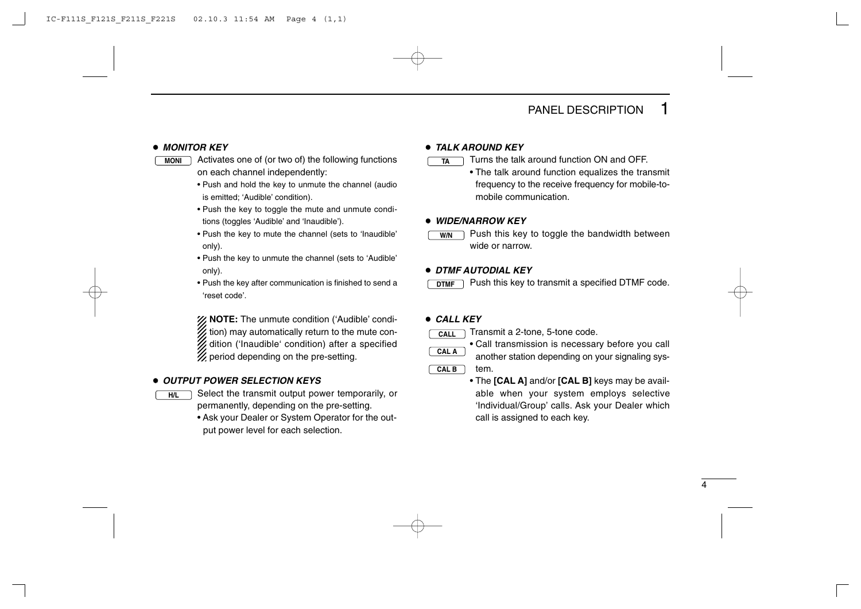#### ¡ *MONITOR KEY*

Activates one of (or two of) the following functions **MONI TA** on each channel independently:

- Push and hold the key to unmute the channel (audio is emitted; 'Audible' condition).
- Push the key to toggle the mute and unmute conditions (toggles 'Audible' and 'Inaudible').
- Push the key to mute the channel (sets to 'Inaudible' only).
- Push the key to unmute the channel (sets to 'Audible' only).
- Push the key after communication is finished to send a 'reset code'.

**NOTE:** The unmute condition ('Audible' condi- $\mathcal{U}$  tion) may automatically return to the mute condition ('Inaudible' condition) after a specified  $\mathscr U$  period depending on the pre-setting.

#### ¡ *OUTPUT POWER SELECTION KEYS*

**H/L**

Select the transmit output power temporarily, or permanently, depending on the pre-setting.

• Ask your Dealer or System Operator for the output power level for each selection.

#### ¡ *TALK AROUND KEY*

Turns the talk around function ON and OFF.

• The talk around function equalizes the transmit frequency to the receive frequency for mobile-tomobile communication.

#### ¡ *WIDE/NARROW KEY*

Push this key to toggle the bandwidth between wide or narrow.

#### ¡ *DTMF AUTODIAL KEY*

Push this key to transmit a specified DTMF code. **DTMF**

#### ¡ *CALL KEY*

**CALL CAL A**

**W/N**

Transmit a 2-tone, 5-tone code.

• Call transmission is necessary before you call another station depending on your signaling sys-

tem. **CAL B**

> • The **[CAL A]** and/or **[CAL B]** keys may be available when your system employs selective 'Individual/Group' calls. Ask your Dealer which call is assigned to each key.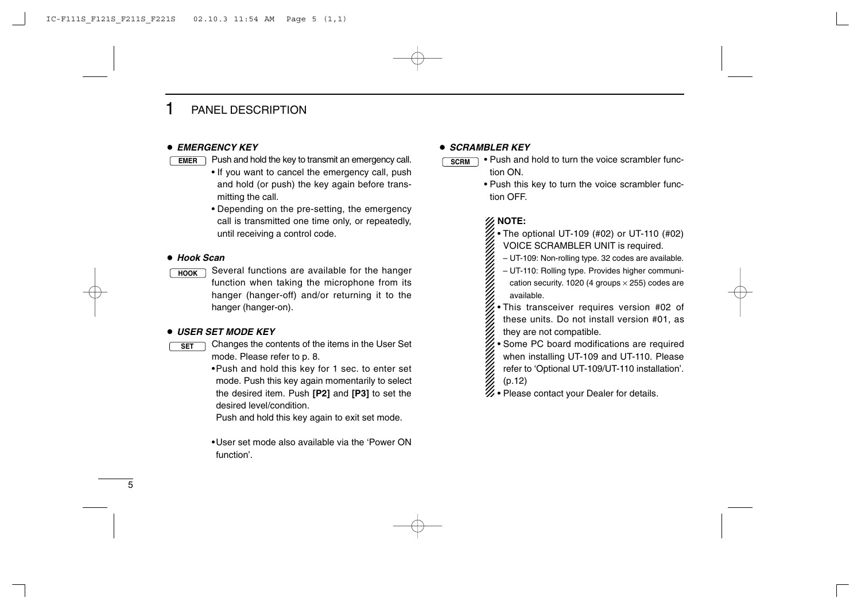#### ¡ *EMERGENCY KEY*

- **EMER** ) Push and hold the key to transmit an emergency call.  $\qquad \qquad$  SCRM
	- If you want to cancel the emergency call, push and hold (or push) the key again before transmitting the call.
	- Depending on the pre-setting, the emergency call is transmitted one time only, or repeatedly, until receiving a control code.

#### ¡ *Hook Scan*

Several functions are available for the hanger function when taking the microphone from its hanger (hanger-off) and/or returning it to the hanger (hanger-on). **HOOK**

#### ¡ *USER SET MODE KEY*

- Changes the contents of the items in the User Set mode. Please refer to p. 8. **SET**
	- •Push and hold this key for 1 sec. to enter set mode. Push this key again momentarily to select the desired item. Push **[P2]** and **[P3]** to set the desired level/condition.

Push and hold this key again to exit set mode.

•User set mode also available via the 'Power ON function'.

#### ¡ *SCRAMBLER KEY*

- Push and hold to turn the voice scrambler function ON.
	- Push this key to turn the voice scrambler function OFF.

### **NOTE:**

- $\mathscr{U}$  The optional UT-109 (#02) or UT-110 (#02) VOICE SCRAMBLER UNIT is required.
- UT-109: Non-rolling type. 32 codes are available.

– UT-110: Rolling type. Provides higher communication security. 1020 (4 groups  $\times$  255) codes are available.

• This transceiver requires version #02 of these units. Do not install version #01, as they are not compatible.

• Some PC board modifications are required

- when installing UT-109 and UT-110. Please
- refer to 'Optional UT-109/UT-110 installation'.
- (p.12)
- $\mathscr{U}\bullet$  Please contact your Dealer for details.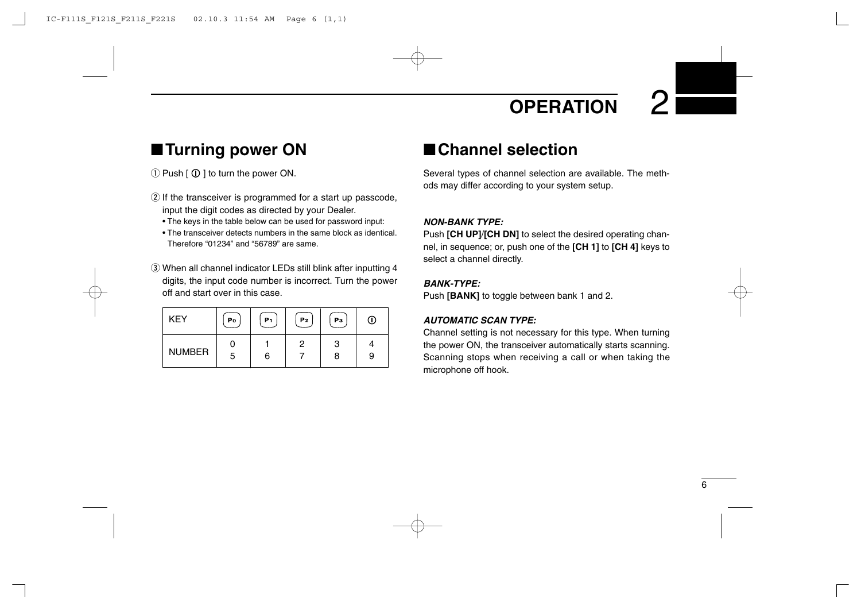## **OPERATION**

### ■**Turning power ON**

 $\circled{1}$  Push  $\circled{0}$   $\circled{1}$  to turn the power ON.

- $\Omega$  If the transceiver is programmed for a start up passcode, input the digit codes as directed by your Dealer.
	- The keys in the table below can be used for password input:
	- The transceiver detects numbers in the same block as identical. Therefore "01234" and "56789" are same.
- e When all channel indicator LEDs still blink after inputting 4 digits, the input code number is incorrect. Turn the power off and start over in this case.

| <b>KEY</b>    | Po | P1 | P <sub>2</sub> | Pз | (I) |
|---------------|----|----|----------------|----|-----|
|               |    |    |                | 3  |     |
| <b>NUMBER</b> | 5  | 6  |                | 8  | 9   |

### ■**Channel selection**

Several types of channel selection are available. The methods may differ according to your system setup.

### *NON-BANK TYPE:*

Push **[CH UP]**/**[CH DN]** to select the desired operating channel, in sequence; or, push one of the **[CH 1]** to **[CH 4]** keys to select a channel directly.

### *BANK-TYPE:*

Push **[BANK]** to toggle between bank 1 and 2.

### *AUTOMATIC SCAN TYPE:*

Channel setting is not necessary for this type. When turning the power ON, the transceiver automatically starts scanning. Scanning stops when receiving a call or when taking the microphone off hook.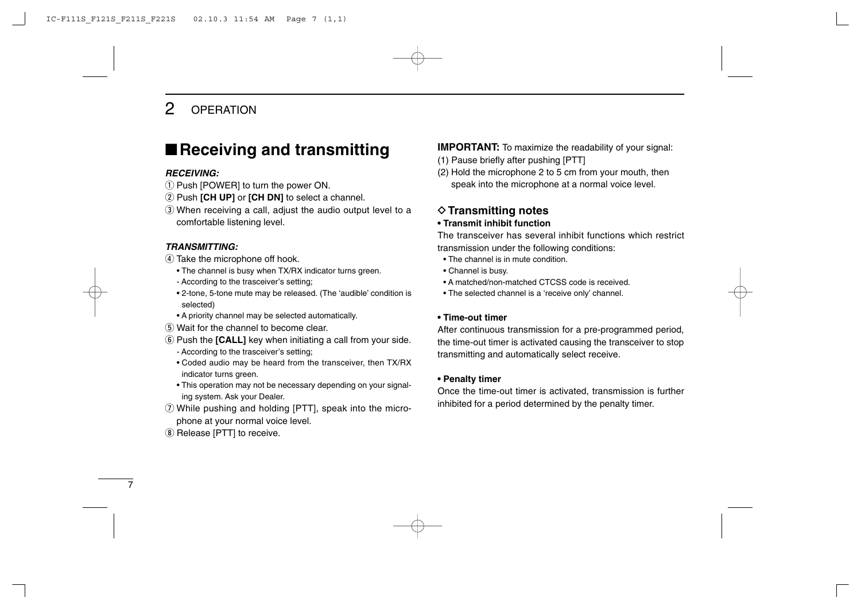### 2 OPERATION

### ■**Receiving and transmitting**

#### *RECEIVING:*

- $\Omega$  Push [POWER] to turn the power ON.
- 2 Push **[CH UP]** or **[CH DN]** to select a channel.
- e When receiving a call, adjust the audio output level to a comfortable listening level.

#### *TRANSMITTING:*

- 4) Take the microphone off hook.
	- The channel is busy when TX/RX indicator turns green.
	- According to the trasceiver's setting;
	- 2-tone, 5-tone mute may be released. (The 'audible' condition is selected)
	- A priority channel may be selected automatically.
- (5) Wait for the channel to become clear.
- **6** Push the **[CALL]** key when initiating a call from your side.
	- According to the trasceiver's setting;
	- Coded audio may be heard from the transceiver, then TX/RX indicator turns green.
	- This operation may not be necessary depending on your signaling system. Ask your Dealer.
- $Q$  While pushing and holding [PTT], speak into the microphone at your normal voice level.
- **(8) Release [PTT] to receive.**

**IMPORTANT:** To maximize the readability of your signal:

- (1) Pause briefly after pushing [PTT]
- (2) Hold the microphone 2 to 5 cm from your mouth, then speak into the microphone at a normal voice level.

### **♦ Transmitting notes**

### **• Transmit inhibit function**

The transceiver has several inhibit functions which restrict transmission under the following conditions:

- The channel is in mute condition.
- Channel is busy.
- A matched/non-matched CTCSS code is received.
- The selected channel is a 'receive only' channel.

#### **• Time-out timer**

After continuous transmission for a pre-programmed period, the time-out timer is activated causing the transceiver to stop transmitting and automatically select receive.

#### **• Penalty timer**

Once the time-out timer is activated, transmission is further inhibited for a period determined by the penalty timer.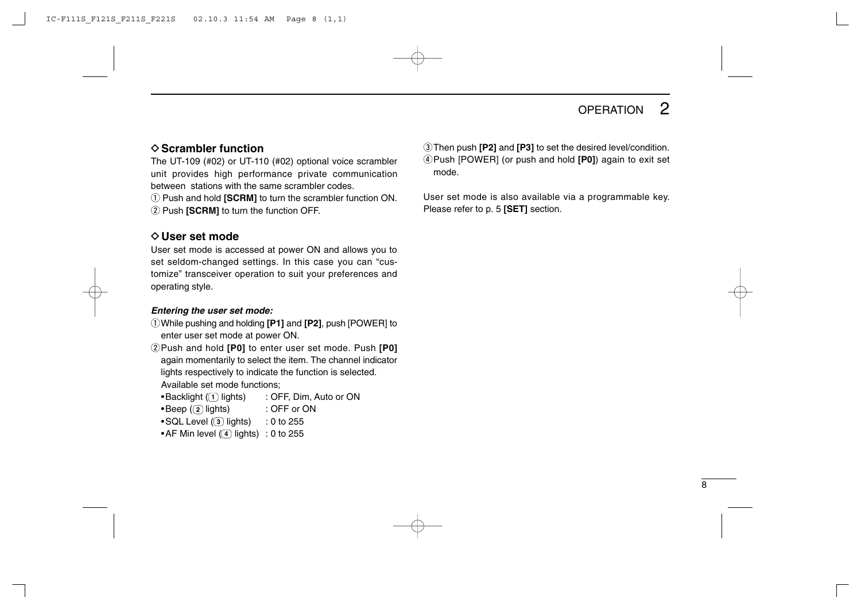### OPERATION<sub>2</sub>

### D**Scrambler function**

The UT-109 (#02) or UT-110 (#02) optional voice scrambler unit provides high performance private communication between stations with the same scrambler codes.

q Push and hold **[SCRM]** to turn the scrambler function ON. **(2) Push <b>[SCRM]** to turn the function OFF.

### **⊘User set mode**

User set mode is accessed at power ON and allows you to set seldom-changed settings. In this case you can "customize" transceiver operation to suit your preferences and operating style.

#### *Entering the user set mode:*

- qWhile pushing and holding **[P1]** and **[P2]**, push [POWER] to enter user set mode at power ON.
- **2** Push and hold **[P0]** to enter user set mode. Push **[P0]** again momentarily to select the item. The channel indicator lights respectively to indicate the function is selected. Available set mode functions;
	- $\bullet$ Backlight ( $\textcolor{red}{\textbf{(1)}}$  lights)  $\qquad \textcolor{red}{\textbf{1}}$  : OFF, Dim, Auto or ON
	- •Beep ((<u>2</u>) lights) :OFF or ON
	- •SQL Level (③ lights) :0 to 255
	- •AF Min level (<u>(4</u>) lights) :0 to 255

**1** 3 Then push **[P2]** and **[P3]** to set the desired level/condition. rPush [POWER] (or push and hold **[P0]**) again to exit set mode.

User set mode is also available via a programmable key. Please refer to p. 5 **[SET]** section.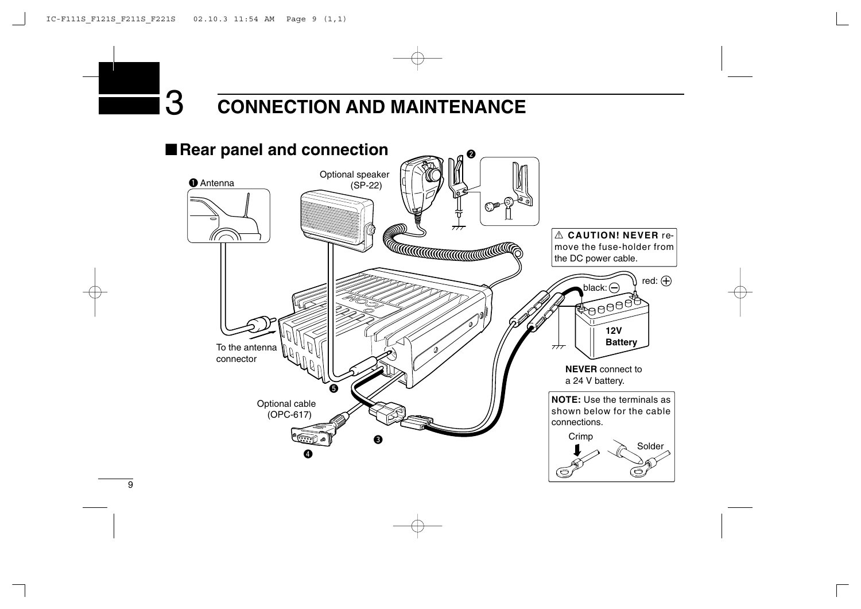# 3 **CONNECTION AND MAINTENANCE**

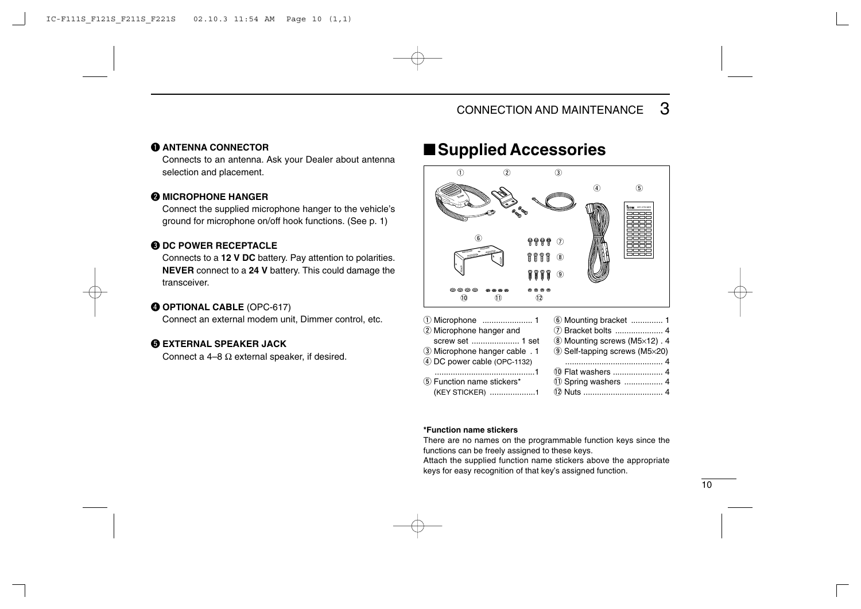### q **ANTENNA CONNECTOR**

Connects to an antenna. Ask your Dealer about antenna selection and placement.

### **WICROPHONE HANGER**

Connect the supplied microphone hanger to the vehicle's ground for microphone on/off hook functions. (See p. 1)

### **B DC POWER RECEPTACLE**

Connects to a **12 V DC** battery. Pay attention to polarities. **NEVER** connect to a **24 V** battery. This could damage the transceiver.

### r **OPTIONAL CABLE** (OPC-617)

Connect an external modem unit, Dimmer control, etc.

### **GEXTERNAL SPEAKER JACK**

Connect a 4–8  $\Omega$  external speaker, if desired.

### ■**Supplied Accessories**



| (KEY STICKER) 1 |  |
|-----------------|--|
|-----------------|--|

#### **\*Function name stickers**

There are no names on the programmable function keys since the functions can be freely assigned to these keys.

Attach the supplied function name stickers above the appropriate keys for easy recognition of that key's assigned function.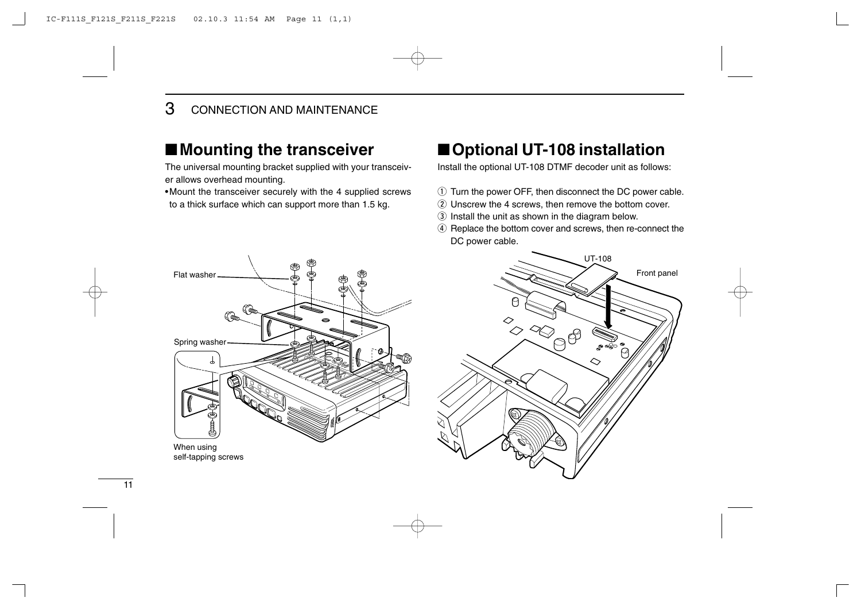### ■**Mounting the transceiver**

The universal mounting bracket supplied with your transceiver allows overhead mounting.

•Mount the transceiver securely with the 4 supplied screws to a thick surface which can support more than 1.5 kg.

### ■**Optional UT-108 installation**

Install the optional UT-108 DTMF decoder unit as follows:

- $\odot$  Turn the power OFF, then disconnect the DC power cable.
- 2 Unscrew the 4 screws, then remove the bottom cover.
- 3 Install the unit as shown in the diagram below.
- 4 Replace the bottom cover and screws, then re-connect the DC power cable.

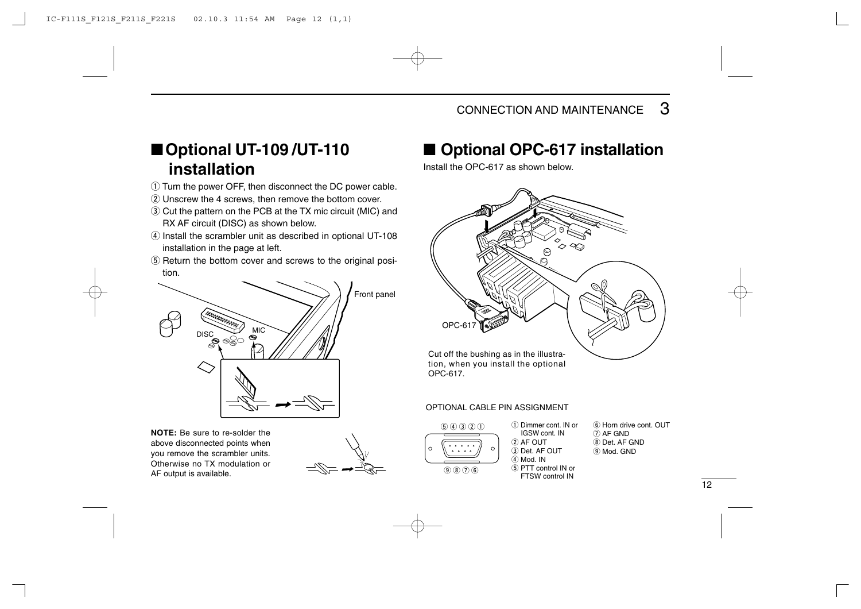### ■**Optional UT-109 /UT-110 installation**

- (1) Turn the power OFF, then disconnect the DC power cable.
- (2) Unscrew the 4 screws, then remove the bottom cover.
- e Cut the pattern on the PCB at the TX mic circuit (MIC) and RX AF circuit (DISC) as shown below.
- $\overline{a}$  Install the scrambler unit as described in optional UT-108 installation in the page at left.
- $(5)$  Return the bottom cover and screws to the original position.



**NOTE:** Be sure to re-solder the above disconnected points when you remove the scrambler units. Otherwise no TX modulation or AF output is available.



### ■ **Optional OPC-617** installation

Install the OPC-617 as shown below.



#### OPTIONAL CABLE PIN ASSIGNMENT



- q Dimmer cont. IN or IGSW cont. IN  $(2)$  AF OUT 3) Det. AF OUT  $\overline{A}$  Mod. IN  $(5)$  PTT control IN or  $\circledR$   $\circledR$   $\circledR$   $\circledR$   $\circledR$   $\circledR$   $\circledR$   $\circledR$   $\circledR$   $\circledR$   $\circledR$   $\circledR$   $\circledR$   $\circledR$   $\circledR$   $\circledR$   $\circledR$   $\circledR$   $\circledR$   $\circledR$   $\circledR$   $\circledR$   $\circledR$   $\circledR$   $\circledR$   $\circledR$   $\circledR$   $\circledR$   $\circledR$   $\circledR$   $\circledR$   $\circled$
- $\widehat{A}$  Horn drive cont. OUT  $(7)$  AF GND  $\circ$  Det. AF GND  $(9)$  Mod. GND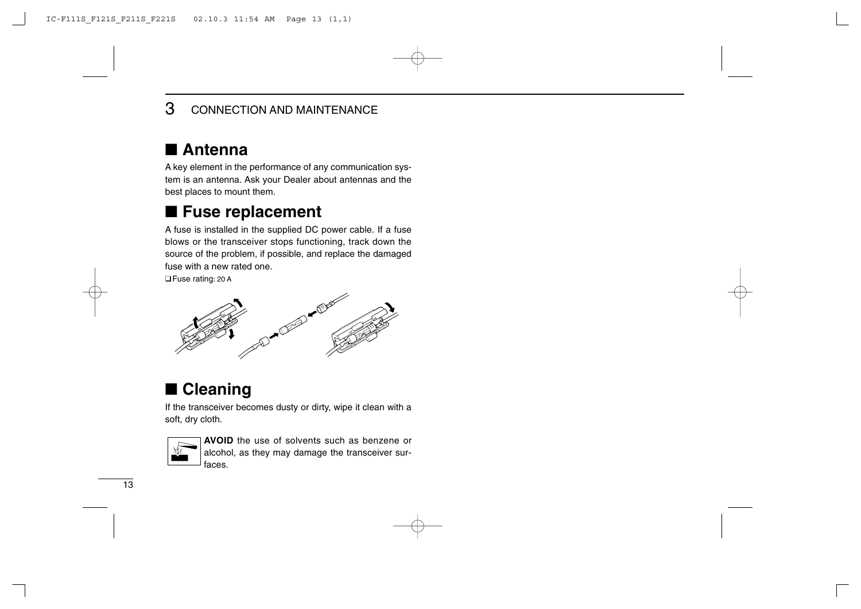### 3 CONNECTION AND MAINTENANCE

### ■ **Antenna**

A key element in the performance of any communication system is an antenna. Ask your Dealer about antennas and the best places to mount them.

### ■ Fuse replacement

A fuse is installed in the supplied DC power cable. If a fuse blows or the transceiver stops functioning, track down the source of the problem, if possible, and replace the damaged fuse with a new rated one.

□Fuse rating: 20 A



### ■ **Cleaning**

If the transceiver becomes dusty or dirty, wipe it clean with a soft, dry cloth.



**AVOID** the use of solvents such as benzene or alcohol, as they may damage the transceiver surfaces.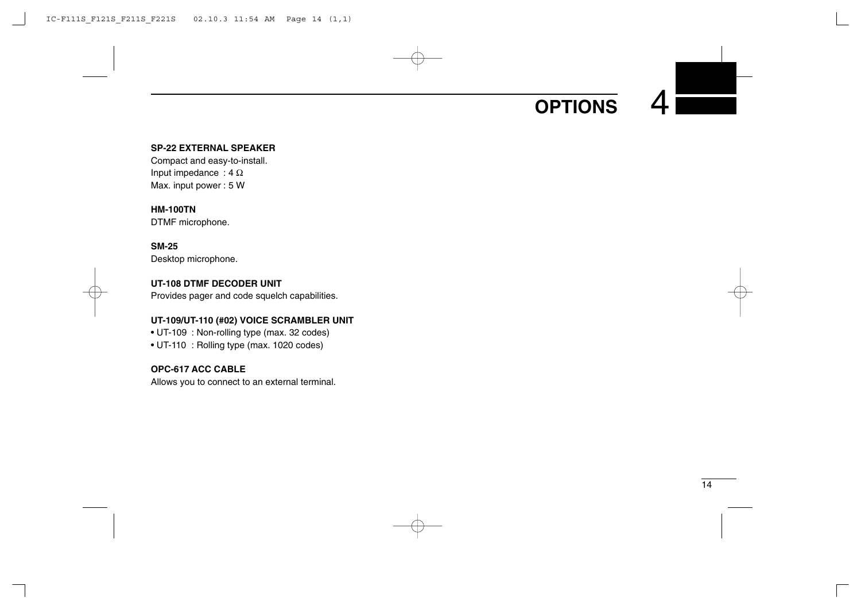# **OPTIONS**

### **SP-22 EXTERNAL SPEAKER**

Compact and easy-to-install. Input impedance :  $4 \Omega$ Max. input power : 5 W

#### **HM-100TN**

DTMF microphone.

### **SM-25**

Desktop microphone.

### **UT-108 DTMF DECODER UNIT**

Provides pager and code squelch capabilities.

#### **UT-109/UT-110 (#02) VOICE SCRAMBLER UNIT**

• UT-109 : Non-rolling type (max. 32 codes)

• UT-110 : Rolling type (max. 1020 codes)

### **OPC-617 ACC CABLE**

Allows you to connect to an external terminal.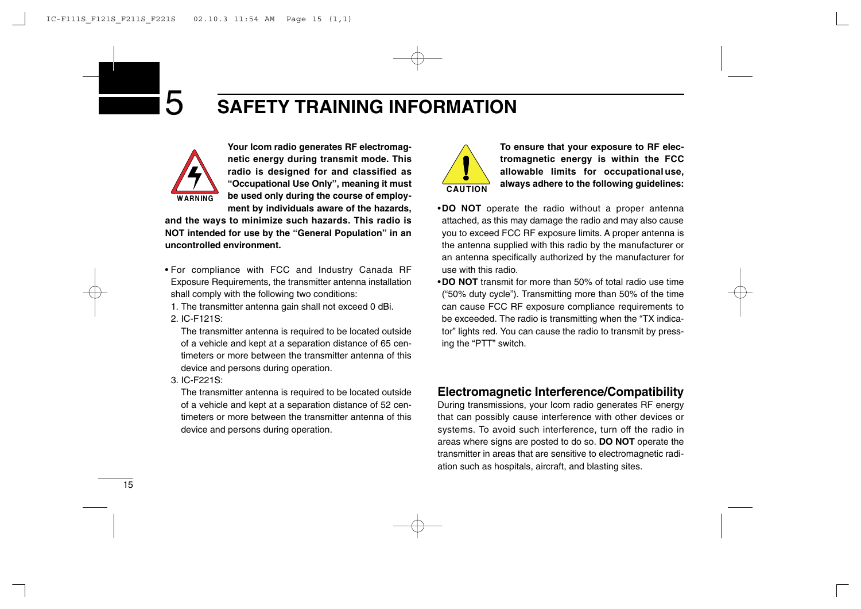

**Your Icom radio generates RF electromagnetic energy during transmit mode. This radio is designed for and classified as "Occupational Use Only", meaning it must be used only during the course of employment by individuals aware of the hazards,**

**and the ways to minimize such hazards. This radio is NOT intended for use by the "General Population" in an uncontrolled environment.**

- For compliance with FCC and Industry Canada RF Exposure Requirements, the transmitter antenna installation shall comply with the following two conditions:
	- 1. The transmitter antenna gain shall not exceed 0 dBi.
	- 2. IC-F121S:

The transmitter antenna is required to be located outside of a vehicle and kept at a separation distance of 65 centimeters or more between the transmitter antenna of this device and persons during operation.

3. IC-F221S:

The transmitter antenna is required to be located outside of a vehicle and kept at a separation distance of 52 centimeters or more between the transmitter antenna of this device and persons during operation.



**To ensure that your exposure to RF electromagnetic energy is within the FCC allowable limits for occupationaluse, always adhere to the following guidelines:**

- •**DO NOT** operate the radio without a proper antenna attached, as this may damage the radio and may also cause you to exceed FCC RF exposure limits. A proper antenna is the antenna supplied with this radio by the manufacturer or an antenna specifically authorized by the manufacturer for use with this radio.
- •**DO NOT** transmit for more than 50% of total radio use time ("50% duty cycle"). Transmitting more than 50% of the time can cause FCC RF exposure compliance requirements to be exceeded. The radio is transmitting when the "TX indicator" lights red. You can cause the radio to transmit by pressing the "PTT" switch.

### **Electromagnetic Interference/Compatibility**

During transmissions, your Icom radio generates RF energy that can possibly cause interference with other devices or systems. To avoid such interference, turn off the radio in areas where signs are posted to do so. **DO NOT** operate the transmitter in areas that are sensitive to electromagnetic radiation such as hospitals, aircraft, and blasting sites.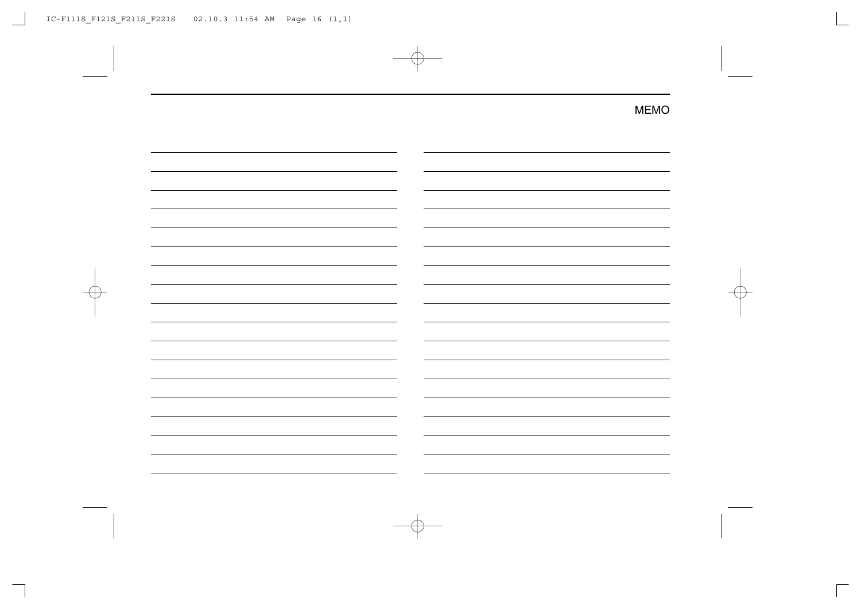MEMO

| -                        |  |
|--------------------------|--|
|                          |  |
| -                        |  |
| -                        |  |
|                          |  |
| -                        |  |
|                          |  |
|                          |  |
|                          |  |
| -                        |  |
| -                        |  |
| -                        |  |
| $\overline{\phantom{0}}$ |  |
|                          |  |
|                          |  |
|                          |  |
|                          |  |
|                          |  |
| $\overline{\phantom{0}}$ |  |
|                          |  |
|                          |  |